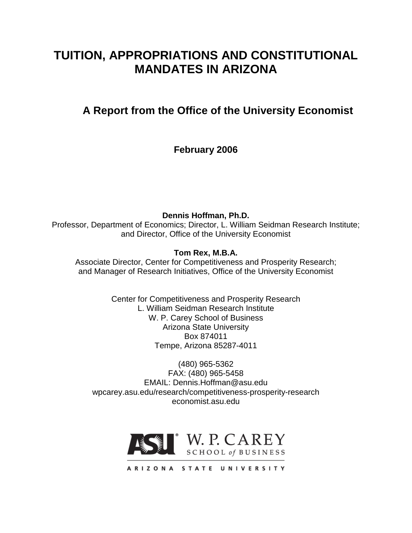# **TUITION, APPROPRIATIONS AND CONSTITUTIONAL MANDATES IN ARIZONA**

# **A Report from the Office of the University Economist**

**February 2006**

**Dennis Hoffman, Ph.D.** Professor, Department of Economics; Director, L. William Seidman Research Institute; and Director, Office of the University Economist

**Tom Rex, M.B.A.**

Associate Director, Center for Competitiveness and Prosperity Research; and Manager of Research Initiatives, Office of the University Economist

> Center for Competitiveness and Prosperity Research L. William Seidman Research Institute W. P. Carey School of Business Arizona State University Box 874011 Tempe, Arizona 85287-4011

(480) 965-5362 FAX: (480) 965-5458 EMAIL: Dennis.Hoffman@asu.edu wpcarey.asu.edu/research/competitiveness-prosperity-research economist.asu.edu

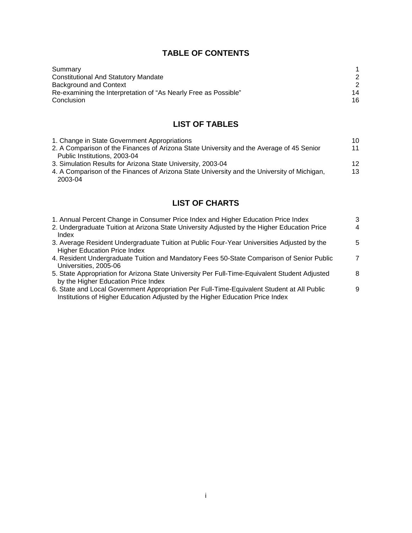## **TABLE OF CONTENTS**

| Summary                                                         |    |
|-----------------------------------------------------------------|----|
| <b>Constitutional And Statutory Mandate</b>                     |    |
| Background and Context                                          |    |
| Re-examining the Interpretation of "As Nearly Free as Possible" | 14 |
| Conclusion                                                      | 16 |

# **LIST OF TABLES**

| 1. Change in State Government Appropriations                                                | 10 |
|---------------------------------------------------------------------------------------------|----|
| 2. A Comparison of the Finances of Arizona State University and the Average of 45 Senior    | 11 |
| Public Institutions, 2003-04                                                                |    |
| 3. Simulation Results for Arizona State University, 2003-04                                 | 12 |
| 4. A Comparison of the Finances of Arizona State University and the University of Michigan, | 13 |
| 2003-04                                                                                     |    |

# **LIST OF CHARTS**

| 1. Annual Percent Change in Consumer Price Index and Higher Education Price Index                                                                                           | 3              |
|-----------------------------------------------------------------------------------------------------------------------------------------------------------------------------|----------------|
| 2. Undergraduate Tuition at Arizona State University Adjusted by the Higher Education Price<br>Index                                                                        | 4              |
| 3. Average Resident Undergraduate Tuition at Public Four-Year Universities Adjusted by the<br><b>Higher Education Price Index</b>                                           | 5              |
| 4. Resident Undergraduate Tuition and Mandatory Fees 50-State Comparison of Senior Public<br>Universities, 2005-06                                                          | $\overline{7}$ |
| 5. State Appropriation for Arizona State University Per Full-Time-Equivalent Student Adjusted<br>by the Higher Education Price Index                                        | 8              |
| 6. State and Local Government Appropriation Per Full-Time-Equivalent Student at All Public<br>Institutions of Higher Education Adjusted by the Higher Education Price Index | 9              |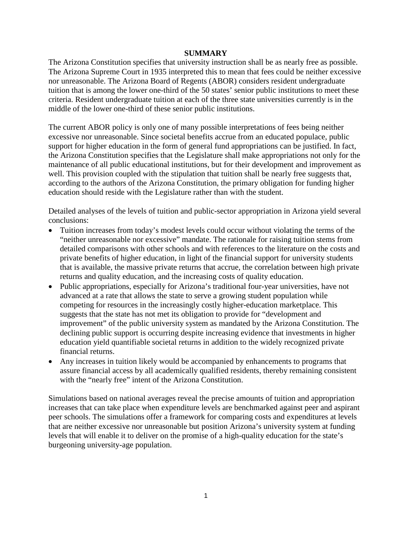#### **SUMMARY**

The Arizona Constitution specifies that university instruction shall be as nearly free as possible. The Arizona Supreme Court in 1935 interpreted this to mean that fees could be neither excessive nor unreasonable. The Arizona Board of Regents (ABOR) considers resident undergraduate tuition that is among the lower one-third of the 50 states' senior public institutions to meet these criteria. Resident undergraduate tuition at each of the three state universities currently is in the middle of the lower one-third of these senior public institutions.

The current ABOR policy is only one of many possible interpretations of fees being neither excessive nor unreasonable. Since societal benefits accrue from an educated populace, public support for higher education in the form of general fund appropriations can be justified. In fact, the Arizona Constitution specifies that the Legislature shall make appropriations not only for the maintenance of all public educational institutions, but for their development and improvement as well. This provision coupled with the stipulation that tuition shall be nearly free suggests that, according to the authors of the Arizona Constitution, the primary obligation for funding higher education should reside with the Legislature rather than with the student.

Detailed analyses of the levels of tuition and public-sector appropriation in Arizona yield several conclusions:

- Tuition increases from today's modest levels could occur without violating the terms of the "neither unreasonable nor excessive" mandate. The rationale for raising tuition stems from detailed comparisons with other schools and with references to the literature on the costs and private benefits of higher education, in light of the financial support for university students that is available, the massive private returns that accrue, the correlation between high private returns and quality education, and the increasing costs of quality education.
- Public appropriations, especially for Arizona's traditional four-year universities, have not advanced at a rate that allows the state to serve a growing student population while competing for resources in the increasingly costly higher-education marketplace. This suggests that the state has not met its obligation to provide for "development and improvement" of the public university system as mandated by the Arizona Constitution. The declining public support is occurring despite increasing evidence that investments in higher education yield quantifiable societal returns in addition to the widely recognized private financial returns.
- Any increases in tuition likely would be accompanied by enhancements to programs that assure financial access by all academically qualified residents, thereby remaining consistent with the "nearly free" intent of the Arizona Constitution.

Simulations based on national averages reveal the precise amounts of tuition and appropriation increases that can take place when expenditure levels are benchmarked against peer and aspirant peer schools. The simulations offer a framework for comparing costs and expenditures at levels that are neither excessive nor unreasonable but position Arizona's university system at funding levels that will enable it to deliver on the promise of a high-quality education for the state's burgeoning university-age population.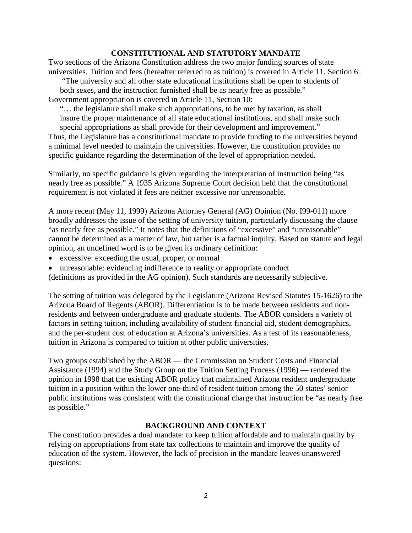## **CONSTITUTIONAL AND STATUTORY MANDATE**

Two sections of the Arizona Constitution address the two major funding sources of state universities. Tuition and fees (hereafter referred to as tuition) is covered in Article 11, Section 6:

"The university and all other state educational institutions shall be open to students of both sexes, and the instruction furnished shall be as nearly free as possible." Government appropriation is covered in Article 11, Section 10:

"… the legislature shall make such appropriations, to be met by taxation, as shall insure the proper maintenance of all state educational institutions, and shall make such

special appropriations as shall provide for their development and improvement." Thus, the Legislature has a constitutional mandate to provide funding to the universities beyond a minimal level needed to maintain the universities. However, the constitution provides no specific guidance regarding the determination of the level of appropriation needed.

Similarly, no specific guidance is given regarding the interpretation of instruction being "as nearly free as possible." A 1935 Arizona Supreme Court decision held that the constitutional requirement is not violated if fees are neither excessive nor unreasonable.

A more recent (May 11, 1999) Arizona Attorney General (AG) Opinion (No. I99-011) more broadly addresses the issue of the setting of university tuition, particularly discussing the clause "as nearly free as possible." It notes that the definitions of "excessive" and "unreasonable" cannot be determined as a matter of law, but rather is a factual inquiry. Based on statute and legal opinion, an undefined word is to be given its ordinary definition:

- excessive: exceeding the usual, proper, or normal
- unreasonable: evidencing indifference to reality or appropriate conduct

(definitions as provided in the AG opinion). Such standards are necessarily subjective.

The setting of tuition was delegated by the Legislature (Arizona Revised Statutes 15-1626) to the Arizona Board of Regents (ABOR). Differentiation is to be made between residents and nonresidents and between undergraduate and graduate students. The ABOR considers a variety of factors in setting tuition, including availability of student financial aid, student demographics, and the per-student cost of education at Arizona's universities. As a test of its reasonableness, tuition in Arizona is compared to tuition at other public universities.

Two groups established by the ABOR — the Commission on Student Costs and Financial Assistance (1994) and the Study Group on the Tuition Setting Process (1996) — rendered the opinion in 1998 that the existing ABOR policy that maintained Arizona resident undergraduate tuition in a position within the lower one-third of resident tuition among the 50 states' senior public institutions was consistent with the constitutional charge that instruction be "as nearly free as possible."

## **BACKGROUND AND CONTEXT**

The constitution provides a dual mandate: to keep tuition affordable and to maintain quality by relying on appropriations from state tax collections to maintain and improve the quality of education of the system. However, the lack of precision in the mandate leaves unanswered questions: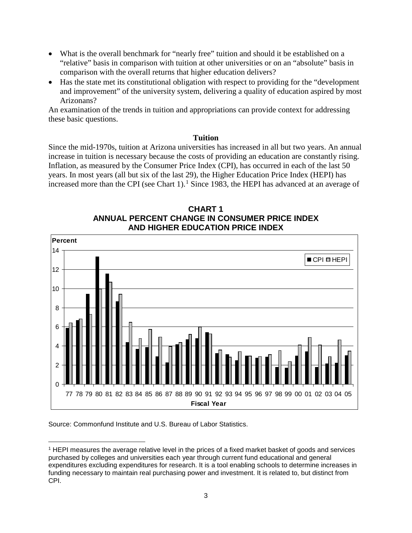- What is the overall benchmark for "nearly free" tuition and should it be established on a "relative" basis in comparison with tuition at other universities or on an "absolute" basis in comparison with the overall returns that higher education delivers?
- Has the state met its constitutional obligation with respect to providing for the "development and improvement" of the university system, delivering a quality of education aspired by most Arizonans?

An examination of the trends in tuition and appropriations can provide context for addressing these basic questions.

### **Tuition**

Since the mid-1970s, tuition at Arizona universities has increased in all but two years. An annual increase in tuition is necessary because the costs of providing an education are constantly rising. Inflation, as measured by the Consumer Price Index (CPI), has occurred in each of the last 50 years. In most years (all but six of the last 29), the Higher Education Price Index (HEPI) has increased more than the CPI (see Chart 1). [1](#page-4-0) Since 1983, the HEPI has advanced at an average of





Source: Commonfund Institute and U.S. Bureau of Labor Statistics.

<span id="page-4-0"></span><sup>1</sup> HEPI measures the average relative level in the prices of a fixed market basket of goods and services purchased by colleges and universities each year through current fund educational and general expenditures excluding expenditures for research. It is a tool enabling schools to determine increases in funding necessary to maintain real purchasing power and investment. It is related to, but distinct from CPI.  $\overline{a}$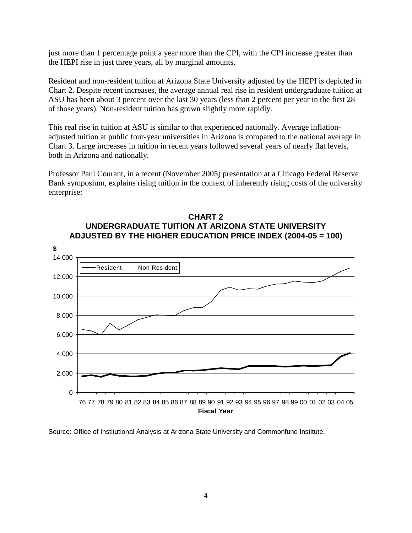just more than 1 percentage point a year more than the CPI, with the CPI increase greater than the HEPI rise in just three years, all by marginal amounts.

Resident and non-resident tuition at Arizona State University adjusted by the HEPI is depicted in Chart 2. Despite recent increases, the average annual real rise in resident undergraduate tuition at ASU has been about 3 percent over the last 30 years (less than 2 percent per year in the first 28 of those years). Non-resident tuition has grown slightly more rapidly.

This real rise in tuition at ASU is similar to that experienced nationally. Average inflationadjusted tuition at public four-year universities in Arizona is compared to the national average in Chart 3. Large increases in tuition in recent years followed several years of nearly flat levels, both in Arizona and nationally.

Professor Paul Courant, in a recent (November 2005) presentation at a Chicago Federal Reserve Bank symposium, explains rising tuition in the context of inherently rising costs of the university enterprise:



## **CHART 2 UNDERGRADUATE TUITION AT ARIZONA STATE UNIVERSITY ADJUSTED BY THE HIGHER EDUCATION PRICE INDEX (2004-05 = 100)**

Source: Office of Institutional Analysis at Arizona State University and Commonfund Institute.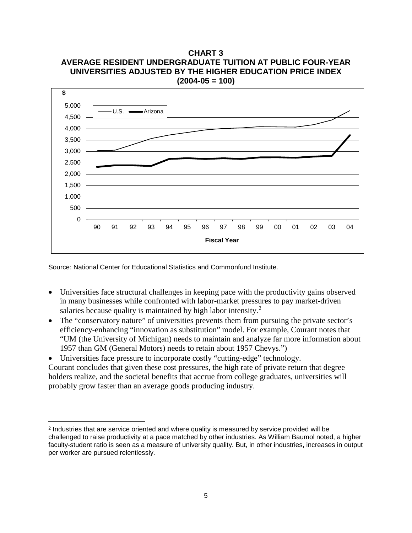**CHART 3 AVERAGE RESIDENT UNDERGRADUATE TUITION AT PUBLIC FOUR-YEAR UNIVERSITIES ADJUSTED BY THE HIGHER EDUCATION PRICE INDEX (2004-05 = 100)**



Source: National Center for Educational Statistics and Commonfund Institute.

 $\overline{a}$ 

- Universities face structural challenges in keeping pace with the productivity gains observed in many businesses while confronted with labor-market pressures to pay market-driven salaries because quality is maintained by high labor intensity.<sup>[2](#page-6-0)</sup>
- The "conservatory nature" of universities prevents them from pursuing the private sector's efficiency-enhancing "innovation as substitution" model. For example, Courant notes that "UM (the University of Michigan) needs to maintain and analyze far more information about 1957 than GM (General Motors) needs to retain about 1957 Chevys.")

Universities face pressure to incorporate costly "cutting-edge" technology. Courant concludes that given these cost pressures, the high rate of private return that degree holders realize, and the societal benefits that accrue from college graduates, universities will probably grow faster than an average goods producing industry.

<span id="page-6-0"></span><sup>&</sup>lt;sup>2</sup> Industries that are service oriented and where quality is measured by service provided will be challenged to raise productivity at a pace matched by other industries. As William Baumol noted, a higher faculty-student ratio is seen as a measure of university quality. But, in other industries, increases in output per worker are pursued relentlessly.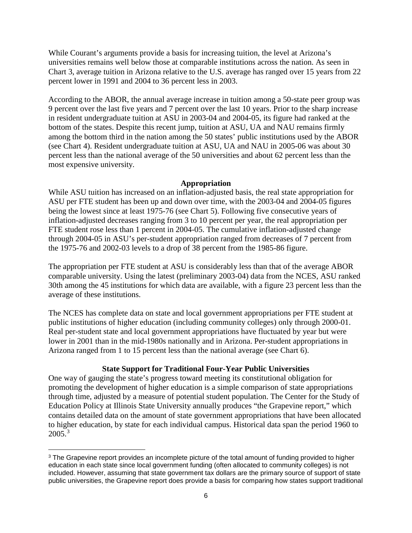While Courant's arguments provide a basis for increasing tuition, the level at Arizona's universities remains well below those at comparable institutions across the nation. As seen in Chart 3, average tuition in Arizona relative to the U.S. average has ranged over 15 years from 22 percent lower in 1991 and 2004 to 36 percent less in 2003.

According to the ABOR, the annual average increase in tuition among a 50-state peer group was 9 percent over the last five years and 7 percent over the last 10 years. Prior to the sharp increase in resident undergraduate tuition at ASU in 2003-04 and 2004-05, its figure had ranked at the bottom of the states. Despite this recent jump, tuition at ASU, UA and NAU remains firmly among the bottom third in the nation among the 50 states' public institutions used by the ABOR (see Chart 4). Resident undergraduate tuition at ASU, UA and NAU in 2005-06 was about 30 percent less than the national average of the 50 universities and about 62 percent less than the most expensive university.

## **Appropriation**

While ASU tuition has increased on an inflation-adjusted basis, the real state appropriation for ASU per FTE student has been up and down over time, with the 2003-04 and 2004-05 figures being the lowest since at least 1975-76 (see Chart 5). Following five consecutive years of inflation-adjusted decreases ranging from 3 to 10 percent per year, the real appropriation per FTE student rose less than 1 percent in 2004-05. The cumulative inflation-adjusted change through 2004-05 in ASU's per-student appropriation ranged from decreases of 7 percent from the 1975-76 and 2002-03 levels to a drop of 38 percent from the 1985-86 figure.

The appropriation per FTE student at ASU is considerably less than that of the average ABOR comparable university. Using the latest (preliminary 2003-04) data from the NCES, ASU ranked 30th among the 45 institutions for which data are available, with a figure 23 percent less than the average of these institutions.

The NCES has complete data on state and local government appropriations per FTE student at public institutions of higher education (including community colleges) only through 2000-01. Real per-student state and local government appropriations have fluctuated by year but were lower in 2001 than in the mid-1980s nationally and in Arizona. Per-student appropriations in Arizona ranged from 1 to 15 percent less than the national average (see Chart 6).

## **State Support for Traditional Four-Year Public Universities**

One way of gauging the state's progress toward meeting its constitutional obligation for promoting the development of higher education is a simple comparison of state appropriations through time, adjusted by a measure of potential student population. The Center for the Study of Education Policy at Illinois State University annually produces "the Grapevine report," which contains detailed data on the amount of state government appropriations that have been allocated to higher education, by state for each individual campus. Historical data span the period 1960 to  $2005.<sup>3</sup>$  $2005.<sup>3</sup>$  $2005.<sup>3</sup>$ 

<span id="page-7-0"></span><sup>&</sup>lt;sup>3</sup> The Grapevine report provides an incomplete picture of the total amount of funding provided to higher education in each state since local government funding (often allocated to community colleges) is not included. However, assuming that state government tax dollars are the primary source of support of state public universities, the Grapevine report does provide a basis for comparing how states support traditional  $\overline{a}$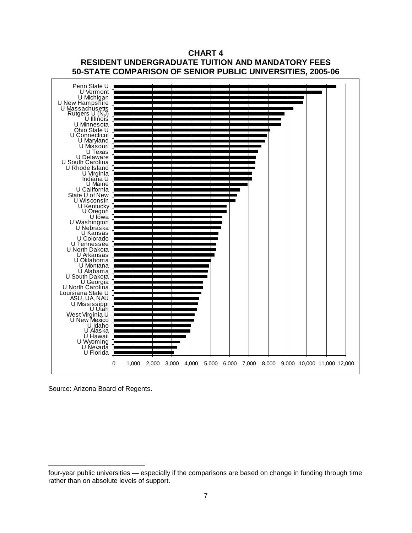

**CHART 4 RESIDENT UNDERGRADUATE TUITION AND MANDATORY FEES**

Source: Arizona Board of Regents.

 $\overline{a}$ 

four-year public universities — especially if the comparisons are based on change in funding through time rather than on absolute levels of support.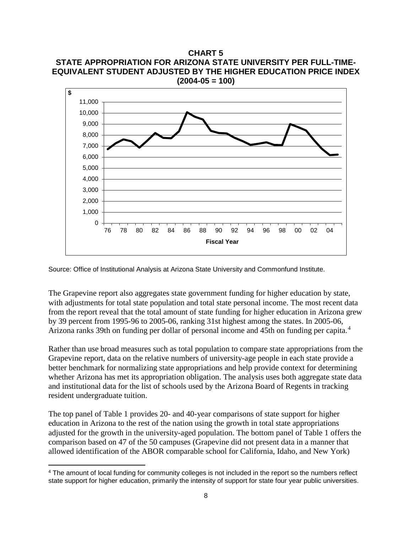**CHART 5 STATE APPROPRIATION FOR ARIZONA STATE UNIVERSITY PER FULL-TIME-EQUIVALENT STUDENT ADJUSTED BY THE HIGHER EDUCATION PRICE INDEX (2004-05 = 100)**



Source: Office of Institutional Analysis at Arizona State University and Commonfund Institute.

The Grapevine report also aggregates state government funding for higher education by state, with adjustments for total state population and total state personal income. The most recent data from the report reveal that the total amount of state funding for higher education in Arizona grew by 39 percent from 1995-96 to 2005-06, ranking 31st highest among the states. In 2005-06, Arizona ranks 39th on funding per dollar of personal income and 45th on funding per capita.[4](#page-9-0)

Rather than use broad measures such as total population to compare state appropriations from the Grapevine report, data on the relative numbers of university-age people in each state provide a better benchmark for normalizing state appropriations and help provide context for determining whether Arizona has met its appropriation obligation. The analysis uses both aggregate state data and institutional data for the list of schools used by the Arizona Board of Regents in tracking resident undergraduate tuition.

The top panel of Table 1 provides 20- and 40-year comparisons of state support for higher education in Arizona to the rest of the nation using the growth in total state appropriations adjusted for the growth in the university-aged population. The bottom panel of Table 1 offers the comparison based on 47 of the 50 campuses (Grapevine did not present data in a manner that allowed identification of the ABOR comparable school for California, Idaho, and New York)

 $\overline{a}$ 

<span id="page-9-0"></span><sup>4</sup> The amount of local funding for community colleges is not included in the report so the numbers reflect state support for higher education, primarily the intensity of support for state four year public universities.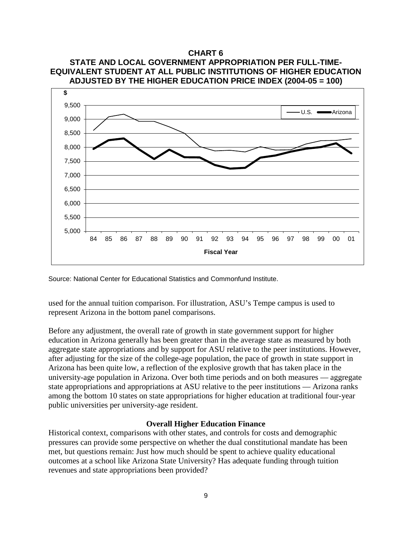

Source: National Center for Educational Statistics and Commonfund Institute.

used for the annual tuition comparison. For illustration, ASU's Tempe campus is used to represent Arizona in the bottom panel comparisons.

Before any adjustment, the overall rate of growth in state government support for higher education in Arizona generally has been greater than in the average state as measured by both aggregate state appropriations and by support for ASU relative to the peer institutions. However, after adjusting for the size of the college-age population, the pace of growth in state support in Arizona has been quite low, a reflection of the explosive growth that has taken place in the university-age population in Arizona. Over both time periods and on both measures — aggregate state appropriations and appropriations at ASU relative to the peer institutions — Arizona ranks among the bottom 10 states on state appropriations for higher education at traditional four-year public universities per university-age resident.

## **Overall Higher Education Finance**

Historical context, comparisons with other states, and controls for costs and demographic pressures can provide some perspective on whether the dual constitutional mandate has been met, but questions remain: Just how much should be spent to achieve quality educational outcomes at a school like Arizona State University? Has adequate funding through tuition revenues and state appropriations been provided?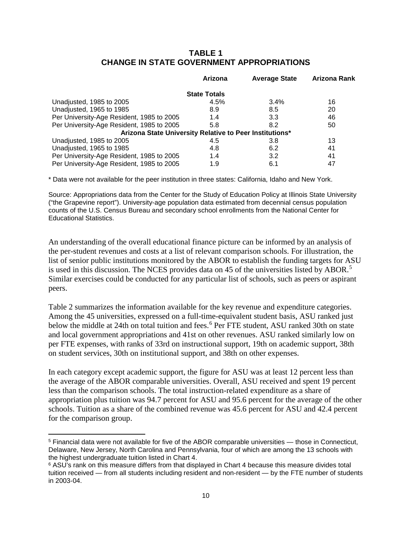## **TABLE 1 CHANGE IN STATE GOVERNMENT APPROPRIATIONS**

|                                                         | Arizona             | <b>Average State</b> | Arizona Rank |
|---------------------------------------------------------|---------------------|----------------------|--------------|
|                                                         | <b>State Totals</b> |                      |              |
| Unadjusted, 1985 to 2005                                | 4.5%                | 3.4%                 | 16           |
| Unadjusted, 1965 to 1985                                | 8.9                 | 8.5                  | 20           |
| Per University-Age Resident, 1985 to 2005               | 1.4                 | 3.3                  | 46           |
| Per University-Age Resident, 1985 to 2005               | 5.8                 | 8.2                  | 50           |
| Arizona State University Relative to Peer Institutions* |                     |                      |              |
| Unadjusted, 1985 to 2005                                | 4.5                 | 3.8                  | 13           |
| Unadjusted, 1965 to 1985                                | 4.8                 | 6.2                  | 41           |
| Per University-Age Resident, 1985 to 2005               | 1.4                 | 3.2                  | 41           |
| Per University-Age Resident, 1985 to 2005               | 1.9                 | 6.1                  | 47           |

\* Data were not available for the peer institution in three states: California, Idaho and New York.

Source: Appropriations data from the Center for the Study of Education Policy at Illinois State University ("the Grapevine report"). University-age population data estimated from decennial census population counts of the U.S. Census Bureau and secondary school enrollments from the National Center for Educational Statistics.

An understanding of the overall educational finance picture can be informed by an analysis of the per-student revenues and costs at a list of relevant comparison schools. For illustration, the list of senior public institutions monitored by the ABOR to establish the funding targets for ASU is used in this discussion. The NCES provides data on 4[5](#page-11-0) of the universities listed by ABOR.<sup>5</sup> Similar exercises could be conducted for any particular list of schools, such as peers or aspirant peers.

Table 2 summarizes the information available for the key revenue and expenditure categories. Among the 45 universities, expressed on a full-time-equivalent student basis, ASU ranked just below the middle at 24th on total tuition and fees.<sup>[6](#page-11-1)</sup> Per FTE student, ASU ranked 30th on state and local government appropriations and 41st on other revenues. ASU ranked similarly low on per FTE expenses, with ranks of 33rd on instructional support, 19th on academic support, 38th on student services, 30th on institutional support, and 38th on other expenses.

In each category except academic support, the figure for ASU was at least 12 percent less than the average of the ABOR comparable universities. Overall, ASU received and spent 19 percent less than the comparison schools. The total instruction-related expenditure as a share of appropriation plus tuition was 94.7 percent for ASU and 95.6 percent for the average of the other schools. Tuition as a share of the combined revenue was 45.6 percent for ASU and 42.4 percent for the comparison group.

 $\overline{a}$ 

<span id="page-11-0"></span><sup>5</sup> Financial data were not available for five of the ABOR comparable universities — those in Connecticut, Delaware, New Jersey, North Carolina and Pennsylvania, four of which are among the 13 schools with the highest undergraduate tuition listed in Chart 4.

<span id="page-11-1"></span><sup>6</sup> ASU's rank on this measure differs from that displayed in Chart 4 because this measure divides total tuition received — from all students including resident and non-resident — by the FTE number of students in 2003-04.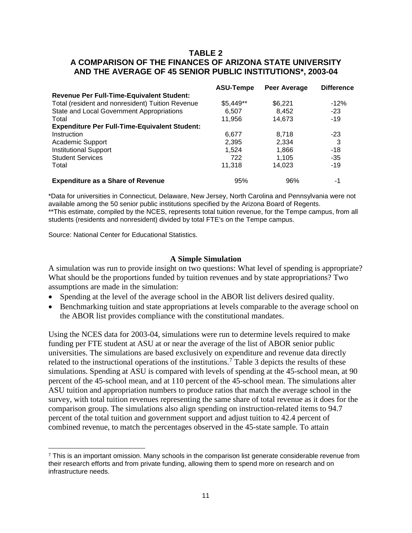## **TABLE 2 A COMPARISON OF THE FINANCES OF ARIZONA STATE UNIVERSITY AND THE AVERAGE OF 45 SENIOR PUBLIC INSTITUTIONS\*, 2003-04**

|                                                      | <b>ASU-Tempe</b> | Peer Average | <b>Difference</b> |
|------------------------------------------------------|------------------|--------------|-------------------|
| <b>Revenue Per Full-Time-Equivalent Student:</b>     |                  |              |                   |
| Total (resident and nonresident) Tuition Revenue     | $$5,449**$       | \$6,221      | $-12%$            |
| State and Local Government Appropriations            | 6.507            | 8.452        | $-23$             |
| Total                                                | 11,956           | 14,673       | $-19$             |
| <b>Expenditure Per Full-Time-Equivalent Student:</b> |                  |              |                   |
| Instruction                                          | 6,677            | 8.718        | $-23$             |
| Academic Support                                     | 2.395            | 2.334        | 3                 |
| <b>Institutional Support</b>                         | 1.524            | 1.866        | $-18$             |
| <b>Student Services</b>                              | 722              | 1.105        | $-35$             |
| Total                                                | 11.318           | 14.023       | $-19$             |
| <b>Expenditure as a Share of Revenue</b>             | 95%              | 96%          | -1                |

\*Data for universities in Connecticut, Delaware, New Jersey, North Carolina and Pennsylvania were not available among the 50 senior public institutions specified by the Arizona Board of Regents. \*\*This estimate, compiled by the NCES, represents total tuition revenue, for the Tempe campus, from all students (residents and nonresident) divided by total FTE's on the Tempe campus.

Source: National Center for Educational Statistics.

#### **A Simple Simulation**

A simulation was run to provide insight on two questions: What level of spending is appropriate? What should be the proportions funded by tuition revenues and by state appropriations? Two assumptions are made in the simulation:

- Spending at the level of the average school in the ABOR list delivers desired quality.
- Benchmarking tuition and state appropriations at levels comparable to the average school on the ABOR list provides compliance with the constitutional mandates.

Using the NCES data for 2003-04, simulations were run to determine levels required to make funding per FTE student at ASU at or near the average of the list of ABOR senior public universities. The simulations are based exclusively on expenditure and revenue data directly related to the instructional operations of the institutions.<sup>[7](#page-12-0)</sup> Table 3 depicts the results of these simulations. Spending at ASU is compared with levels of spending at the 45-school mean, at 90 percent of the 45-school mean, and at 110 percent of the 45-school mean. The simulations alter ASU tuition and appropriation numbers to produce ratios that match the average school in the survey, with total tuition revenues representing the same share of total revenue as it does for the comparison group. The simulations also align spending on instruction-related items to 94.7 percent of the total tuition and government support and adjust tuition to 42.4 percent of combined revenue, to match the percentages observed in the 45-state sample. To attain

<span id="page-12-0"></span> $<sup>7</sup>$  This is an important omission. Many schools in the comparison list generate considerable revenue from</sup> their research efforts and from private funding, allowing them to spend more on research and on infrastructure needs.  $\overline{a}$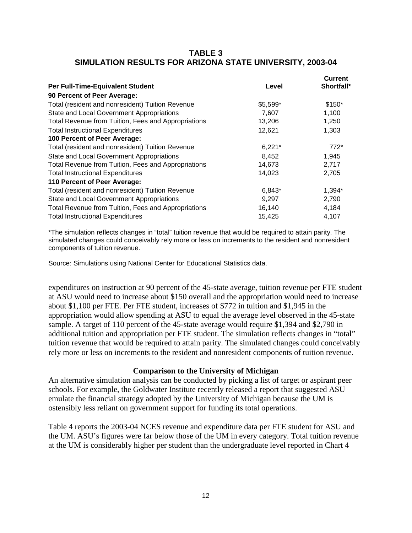## **TABLE 3 SIMULATION RESULTS FOR ARIZONA STATE UNIVERSITY, 2003-04**

|                                                     |          | <b>Current</b> |
|-----------------------------------------------------|----------|----------------|
| Per Full-Time-Equivalent Student                    | Level    | Shortfall*     |
| 90 Percent of Peer Average:                         |          |                |
| Total (resident and nonresident) Tuition Revenue    | \$5,599* | \$150*         |
| State and Local Government Appropriations           | 7,607    | 1,100          |
| Total Revenue from Tuition, Fees and Appropriations | 13,206   | 1,250          |
| <b>Total Instructional Expenditures</b>             | 12,621   | 1,303          |
| 100 Percent of Peer Average:                        |          |                |
| Total (resident and nonresident) Tuition Revenue    | $6,221*$ | $772*$         |
| State and Local Government Appropriations           | 8,452    | 1,945          |
| Total Revenue from Tuition, Fees and Appropriations | 14,673   | 2,717          |
| <b>Total Instructional Expenditures</b>             | 14,023   | 2,705          |
| 110 Percent of Peer Average:                        |          |                |
| Total (resident and nonresident) Tuition Revenue    | 6,843*   | 1,394*         |
| State and Local Government Appropriations           | 9,297    | 2,790          |
| Total Revenue from Tuition, Fees and Appropriations | 16,140   | 4,184          |
| <b>Total Instructional Expenditures</b>             | 15,425   | 4,107          |

\*The simulation reflects changes in "total" tuition revenue that would be required to attain parity. The simulated changes could conceivably rely more or less on increments to the resident and nonresident components of tuition revenue.

Source: Simulations using National Center for Educational Statistics data.

expenditures on instruction at 90 percent of the 45-state average, tuition revenue per FTE student at ASU would need to increase about \$150 overall and the appropriation would need to increase about \$1,100 per FTE. Per FTE student, increases of \$772 in tuition and \$1,945 in the appropriation would allow spending at ASU to equal the average level observed in the 45-state sample. A target of 110 percent of the 45-state average would require \$1,394 and \$2,790 in additional tuition and appropriation per FTE student. The simulation reflects changes in "total" tuition revenue that would be required to attain parity. The simulated changes could conceivably rely more or less on increments to the resident and nonresident components of tuition revenue.

## **Comparison to the University of Michigan**

An alternative simulation analysis can be conducted by picking a list of target or aspirant peer schools. For example, the Goldwater Institute recently released a report that suggested ASU emulate the financial strategy adopted by the University of Michigan because the UM is ostensibly less reliant on government support for funding its total operations.

Table 4 reports the 2003-04 NCES revenue and expenditure data per FTE student for ASU and the UM. ASU's figures were far below those of the UM in every category. Total tuition revenue at the UM is considerably higher per student than the undergraduate level reported in Chart 4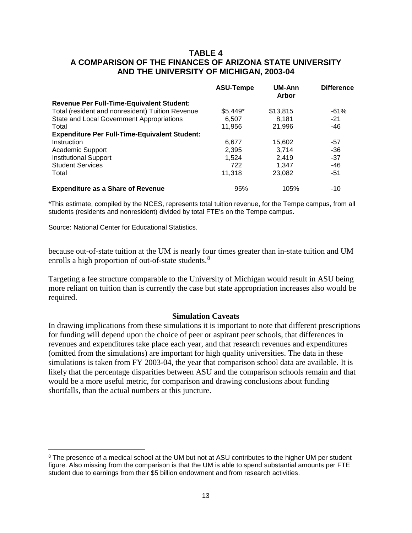## **TABLE 4 A COMPARISON OF THE FINANCES OF ARIZONA STATE UNIVERSITY AND THE UNIVERSITY OF MICHIGAN, 2003-04**

|                                                      | <b>ASU-Tempe</b> | UM-Ann<br>Arbor | <b>Difference</b> |
|------------------------------------------------------|------------------|-----------------|-------------------|
| Revenue Per Full-Time-Equivalent Student:            |                  |                 |                   |
| Total (resident and nonresident) Tuition Revenue     | $$5,449^*$       | \$13,815        | $-61%$            |
| State and Local Government Appropriations            | 6,507            | 8.181           | $-21$             |
| Total                                                | 11,956           | 21,996          | $-46$             |
| <b>Expenditure Per Full-Time-Equivalent Student:</b> |                  |                 |                   |
| Instruction                                          | 6.677            | 15.602          | -57               |
| Academic Support                                     | 2,395            | 3.714           | $-36$             |
| <b>Institutional Support</b>                         | 1.524            | 2,419           | $-37$             |
| <b>Student Services</b>                              | 722              | 1.347           | -46               |
| Total                                                | 11,318           | 23,082          | $-51$             |
| <b>Expenditure as a Share of Revenue</b>             | 95%              | 105%            | $-10$             |

\*This estimate, compiled by the NCES, represents total tuition revenue, for the Tempe campus, from all students (residents and nonresident) divided by total FTE's on the Tempe campus.

Source: National Center for Educational Statistics.

 $\overline{a}$ 

because out-of-state tuition at the UM is nearly four times greater than in-state tuition and UM enrolls a high proportion of out-of-state students.<sup>[8](#page-14-0)</sup>

Targeting a fee structure comparable to the University of Michigan would result in ASU being more reliant on tuition than is currently the case but state appropriation increases also would be required.

#### **Simulation Caveats**

In drawing implications from these simulations it is important to note that different prescriptions for funding will depend upon the choice of peer or aspirant peer schools, that differences in revenues and expenditures take place each year, and that research revenues and expenditures (omitted from the simulations) are important for high quality universities. The data in these simulations is taken from FY 2003-04, the year that comparison school data are available. It is likely that the percentage disparities between ASU and the comparison schools remain and that would be a more useful metric, for comparison and drawing conclusions about funding shortfalls, than the actual numbers at this juncture.

<span id="page-14-0"></span><sup>&</sup>lt;sup>8</sup> The presence of a medical school at the UM but not at ASU contributes to the higher UM per student figure. Also missing from the comparison is that the UM is able to spend substantial amounts per FTE student due to earnings from their \$5 billion endowment and from research activities.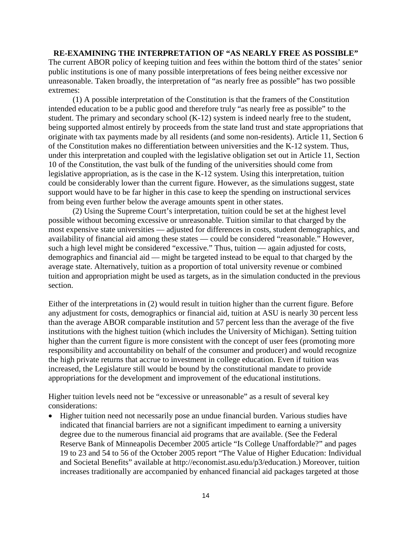**RE-EXAMINING THE INTERPRETATION OF "AS NEARLY FREE AS POSSIBLE"** The current ABOR policy of keeping tuition and fees within the bottom third of the states' senior public institutions is one of many possible interpretations of fees being neither excessive nor unreasonable. Taken broadly, the interpretation of "as nearly free as possible" has two possible extremes:

(1) A possible interpretation of the Constitution is that the framers of the Constitution intended education to be a public good and therefore truly "as nearly free as possible" to the student. The primary and secondary school (K-12) system is indeed nearly free to the student, being supported almost entirely by proceeds from the state land trust and state appropriations that originate with tax payments made by all residents (and some non-residents). Article 11, Section 6 of the Constitution makes no differentiation between universities and the K-12 system. Thus, under this interpretation and coupled with the legislative obligation set out in Article 11, Section 10 of the Constitution, the vast bulk of the funding of the universities should come from legislative appropriation, as is the case in the K-12 system. Using this interpretation, tuition could be considerably lower than the current figure. However, as the simulations suggest, state support would have to be far higher in this case to keep the spending on instructional services from being even further below the average amounts spent in other states.

(2) Using the Supreme Court's interpretation, tuition could be set at the highest level possible without becoming excessive or unreasonable. Tuition similar to that charged by the most expensive state universities — adjusted for differences in costs, student demographics, and availability of financial aid among these states — could be considered "reasonable." However, such a high level might be considered "excessive." Thus, tuition — again adjusted for costs, demographics and financial aid — might be targeted instead to be equal to that charged by the average state. Alternatively, tuition as a proportion of total university revenue or combined tuition and appropriation might be used as targets, as in the simulation conducted in the previous section.

Either of the interpretations in (2) would result in tuition higher than the current figure. Before any adjustment for costs, demographics or financial aid, tuition at ASU is nearly 30 percent less than the average ABOR comparable institution and 57 percent less than the average of the five institutions with the highest tuition (which includes the University of Michigan). Setting tuition higher than the current figure is more consistent with the concept of user fees (promoting more responsibility and accountability on behalf of the consumer and producer) and would recognize the high private returns that accrue to investment in college education. Even if tuition was increased, the Legislature still would be bound by the constitutional mandate to provide appropriations for the development and improvement of the educational institutions.

Higher tuition levels need not be "excessive or unreasonable" as a result of several key considerations:

• Higher tuition need not necessarily pose an undue financial burden. Various studies have indicated that financial barriers are not a significant impediment to earning a university degree due to the numerous financial aid programs that are available. (See the Federal Reserve Bank of Minneapolis December 2005 article "Is College Unaffordable?" and pages 19 to 23 and 54 to 56 of the October 2005 report "The Value of Higher Education: Individual and Societal Benefits" available at [http://economist.asu.edu/p3/education.](http://economist.asu.edu/p3/education)) Moreover, tuition increases traditionally are accompanied by enhanced financial aid packages targeted at those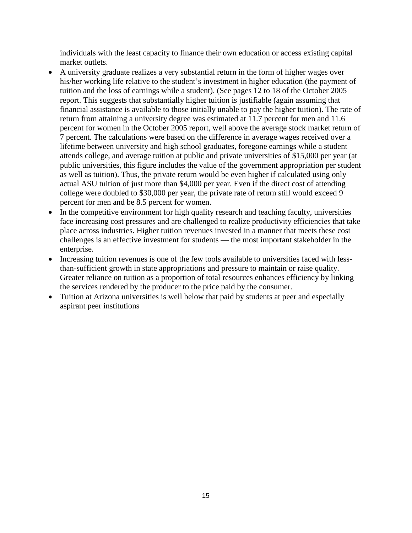individuals with the least capacity to finance their own education or access existing capital market outlets.

- A university graduate realizes a very substantial return in the form of higher wages over his/her working life relative to the student's investment in higher education (the payment of tuition and the loss of earnings while a student). (See pages 12 to 18 of the October 2005 report. This suggests that substantially higher tuition is justifiable (again assuming that financial assistance is available to those initially unable to pay the higher tuition). The rate of return from attaining a university degree was estimated at 11.7 percent for men and 11.6 percent for women in the October 2005 report, well above the average stock market return of 7 percent. The calculations were based on the difference in average wages received over a lifetime between university and high school graduates, foregone earnings while a student attends college, and average tuition at public and private universities of \$15,000 per year (at public universities, this figure includes the value of the government appropriation per student as well as tuition). Thus, the private return would be even higher if calculated using only actual ASU tuition of just more than \$4,000 per year. Even if the direct cost of attending college were doubled to \$30,000 per year, the private rate of return still would exceed 9 percent for men and be 8.5 percent for women.
- In the competitive environment for high quality research and teaching faculty, universities face increasing cost pressures and are challenged to realize productivity efficiencies that take place across industries. Higher tuition revenues invested in a manner that meets these cost challenges is an effective investment for students — the most important stakeholder in the enterprise.
- Increasing tuition revenues is one of the few tools available to universities faced with lessthan-sufficient growth in state appropriations and pressure to maintain or raise quality. Greater reliance on tuition as a proportion of total resources enhances efficiency by linking the services rendered by the producer to the price paid by the consumer.
- Tuition at Arizona universities is well below that paid by students at peer and especially aspirant peer institutions